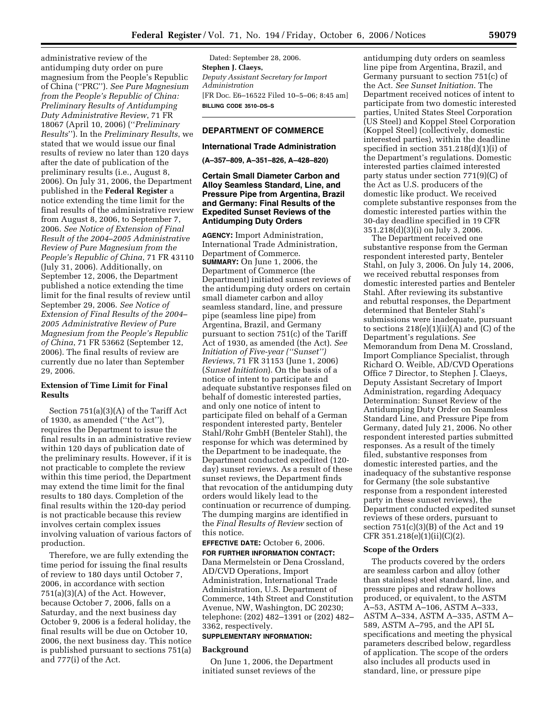administrative review of the antidumping duty order on pure magnesium from the People's Republic of China (''PRC''). *See Pure Magnesium from the People's Republic of China: Preliminary Results of Antidumping Duty Administrative Review*, 71 FR 18067 (April 10, 2006) (''*Preliminary Results*''). In the *Preliminary Results*, we stated that we would issue our final results of review no later than 120 days after the date of publication of the preliminary results (i.e., August 8, 2006). On July 31, 2006, the Department published in the **Federal Register** a notice extending the time limit for the final results of the administrative review from August 8, 2006, to September 7, 2006. *See Notice of Extension of Final Result of the 2004–2005 Administrative Review of Pure Magnesium from the People's Republic of China*, 71 FR 43110 (July 31, 2006). Additionally, on September 12, 2006, the Department published a notice extending the time limit for the final results of review until September 29, 2006. *See Notice of Extension of Final Results of the 2004– 2005 Administrative Review of Pure Magnesium from the People's Republic of China*, 71 FR 53662 (September 12, 2006). The final results of review are currently due no later than September 29, 2006.

## **Extension of Time Limit for Final Results**

Section 751(a)(3)(A) of the Tariff Act of 1930, as amended (''the Act''), requires the Department to issue the final results in an administrative review within 120 days of publication date of the preliminary results. However, if it is not practicable to complete the review within this time period, the Department may extend the time limit for the final results to 180 days. Completion of the final results within the 120-day period is not practicable because this review involves certain complex issues involving valuation of various factors of production.

Therefore, we are fully extending the time period for issuing the final results of review to 180 days until October 7, 2006, in accordance with section 751(a)(3)(A) of the Act. However, because October 7, 2006, falls on a Saturday, and the next business day October 9, 2006 is a federal holiday, the final results will be due on October 10, 2006, the next business day. This notice is published pursuant to sections 751(a) and 777(i) of the Act.

Dated: September 28, 2006. **Stephen J. Claeys,**  *Deputy Assistant Secretary for Import Administration*  [FR Doc. E6–16522 Filed 10–5–06; 8:45 am] **BILLING CODE 3510–DS–S** 

# **DEPARTMENT OF COMMERCE**

#### **International Trade Administration**

**(A–357–809, A–351–826, A–428–820)** 

## **Certain Small Diameter Carbon and Alloy Seamless Standard, Line, and Pressure Pipe from Argentina, Brazil and Germany: Final Results of the Expedited Sunset Reviews of the Antidumping Duty Orders**

**AGENCY:** Import Administration, International Trade Administration, Department of Commerce. **SUMMARY:** On June 1, 2006, the Department of Commerce (the Department) initiated sunset reviews of the antidumping duty orders on certain small diameter carbon and alloy seamless standard, line, and pressure pipe (seamless line pipe) from Argentina, Brazil, and Germany pursuant to section 751(c) of the Tariff Act of 1930, as amended (the Act). *See Initiation of Five-year (''Sunset'') Reviews*, 71 FR 31153 (June 1, 2006) (*Sunset Initiation*). On the basis of a notice of intent to participate and adequate substantive responses filed on behalf of domestic interested parties, and only one notice of intent to participate filed on behalf of a German respondent interested party, Benteler Stahl/Rohr GmbH (Benteler Stahl), the response for which was determined by the Department to be inadequate, the Department conducted expedited (120 day) sunset reviews. As a result of these sunset reviews, the Department finds that revocation of the antidumping duty orders would likely lead to the continuation or recurrence of dumping. The dumping margins are identified in the *Final Results of Review* section of this notice.

# **EFFECTIVE DATE:** October 6, 2006.

**FOR FURTHER INFORMATION CONTACT:**  Dana Mermelstein or Dena Crossland, AD/CVD Operations, Import Administration, International Trade Administration, U.S. Department of Commerce, 14th Street and Constitution Avenue, NW, Washington, DC 20230; telephone: (202) 482–1391 or (202) 482– 3362, respectively.

# **SUPPLEMENTARY INFORMATION:**

#### **Background**

On June 1, 2006, the Department initiated sunset reviews of the

antidumping duty orders on seamless line pipe from Argentina, Brazil, and Germany pursuant to section 751(c) of the Act. *See Sunset Initiation*. The Department received notices of intent to participate from two domestic interested parties, United States Steel Corporation (US Steel) and Koppel Steel Corporation (Koppel Steel) (collectively, domestic interested parties), within the deadline specified in section 351.218(d)(1)(i) of the Department's regulations. Domestic interested parties claimed interested party status under section 771(9)(C) of the Act as U.S. producers of the domestic like product. We received complete substantive responses from the domestic interested parties within the 30-day deadline specified in 19 CFR 351.218(d)(3)(i) on July 3, 2006.

The Department received one substantive response from the German respondent interested party, Benteler Stahl, on July 3, 2006. On July 14, 2006, we received rebuttal responses from domestic interested parties and Benteler Stahl. After reviewing its substantive and rebuttal responses, the Department determined that Benteler Stahl's submissions were inadequate, pursuant to sections  $218(e)(1)(ii)(A)$  and  $(C)$  of the Department's regulations. *See*  Memorandum from Dena M. Crossland, Import Compliance Specialist, through Richard O. Weible, AD/CVD Operations Office 7 Director, to Stephen J. Claeys, Deputy Assistant Secretary of Import Administration, regarding Adequacy Determination: Sunset Review of the Antidumping Duty Order on Seamless Standard Line, and Pressure Pipe from Germany, dated July 21, 2006. No other respondent interested parties submitted responses. As a result of the timely filed, substantive responses from domestic interested parties, and the inadequacy of the substantive response for Germany (the sole substantive response from a respondent interested party in these sunset reviews), the Department conducted expedited sunset reviews of these orders, pursuant to section 751(c)(3)(B) of the Act and 19 CFR 351.218(e)(1)(ii)(C)(2).

#### **Scope of the Orders**

The products covered by the orders are seamless carbon and alloy (other than stainless) steel standard, line, and pressure pipes and redraw hollows produced, or equivalent, to the ASTM A–53, ASTM A–106, ASTM A–333, ASTM A–334, ASTM A–335, ASTM A– 589, ASTM A–795, and the API 5L specifications and meeting the physical parameters described below, regardless of application. The scope of the orders also includes all products used in standard, line, or pressure pipe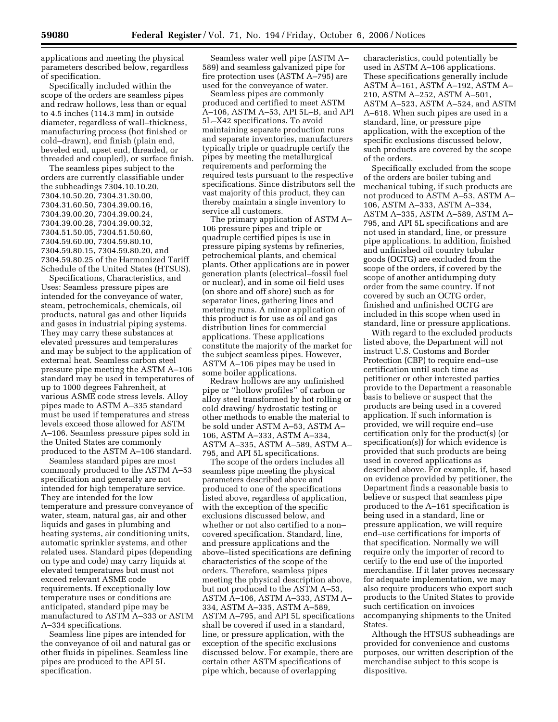applications and meeting the physical parameters described below, regardless of specification.

Specifically included within the scope of the orders are seamless pipes and redraw hollows, less than or equal to 4.5 inches (114.3 mm) in outside diameter, regardless of wall–thickness, manufacturing process (hot finished or cold–drawn), end finish (plain end, beveled end, upset end, threaded, or threaded and coupled), or surface finish.

The seamless pipes subject to the orders are currently classifiable under the subheadings 7304.10.10.20, 7304.10.50.20, 7304.31.30.00, 7304.31.60.50, 7304.39.00.16, 7304.39.00.20, 7304.39.00.24, 7304.39.00.28, 7304.39.00.32, 7304.51.50.05, 7304.51.50.60, 7304.59.60.00, 7304.59.80.10, 7304.59.80.15, 7304.59.80.20, and 7304.59.80.25 of the Harmonized Tariff Schedule of the United States (HTSUS).

Specifications, Characteristics, and Uses: Seamless pressure pipes are intended for the conveyance of water, steam, petrochemicals, chemicals, oil products, natural gas and other liquids and gases in industrial piping systems. They may carry these substances at elevated pressures and temperatures and may be subject to the application of external heat. Seamless carbon steel pressure pipe meeting the ASTM A–106 standard may be used in temperatures of up to 1000 degrees Fahrenheit, at various ASME code stress levels. Alloy pipes made to ASTM A–335 standard must be used if temperatures and stress levels exceed those allowed for ASTM A–106. Seamless pressure pipes sold in the United States are commonly produced to the ASTM A–106 standard.

Seamless standard pipes are most commonly produced to the ASTM A–53 specification and generally are not intended for high temperature service. They are intended for the low temperature and pressure conveyance of water, steam, natural gas, air and other liquids and gases in plumbing and heating systems, air conditioning units, automatic sprinkler systems, and other related uses. Standard pipes (depending on type and code) may carry liquids at elevated temperatures but must not exceed relevant ASME code requirements. If exceptionally low temperature uses or conditions are anticipated, standard pipe may be manufactured to ASTM A–333 or ASTM A–334 specifications.

Seamless line pipes are intended for the conveyance of oil and natural gas or other fluids in pipelines. Seamless line pipes are produced to the API 5L specification.

Seamless water well pipe (ASTM A– 589) and seamless galvanized pipe for fire protection uses (ASTM A–795) are used for the conveyance of water.

Seamless pipes are commonly produced and certified to meet ASTM A–106, ASTM A–53, API 5L–B, and API 5L–X42 specifications. To avoid maintaining separate production runs and separate inventories, manufacturers typically triple or quadruple certify the pipes by meeting the metallurgical requirements and performing the required tests pursuant to the respective specifications. Since distributors sell the vast majority of this product, they can thereby maintain a single inventory to service all customers.

The primary application of ASTM A– 106 pressure pipes and triple or quadruple certified pipes is use in pressure piping systems by refineries, petrochemical plants, and chemical plants. Other applications are in power generation plants (electrical–fossil fuel or nuclear), and in some oil field uses (on shore and off shore) such as for separator lines, gathering lines and metering runs. A minor application of this product is for use as oil and gas distribution lines for commercial applications. These applications constitute the majority of the market for the subject seamless pipes. However, ASTM A–106 pipes may be used in some boiler applications.

Redraw hollows are any unfinished pipe or ''hollow profiles'' of carbon or alloy steel transformed by hot rolling or cold drawing/ hydrostatic testing or other methods to enable the material to be sold under ASTM A–53, ASTM A– 106, ASTM A–333, ASTM A–334, ASTM A–335, ASTM A–589, ASTM A– 795, and API 5L specifications.

The scope of the orders includes all seamless pipe meeting the physical parameters described above and produced to one of the specifications listed above, regardless of application, with the exception of the specific exclusions discussed below, and whether or not also certified to a non– covered specification. Standard, line, and pressure applications and the above–listed specifications are defining characteristics of the scope of the orders. Therefore, seamless pipes meeting the physical description above, but not produced to the ASTM A–53, ASTM A–106, ASTM A–333, ASTM A– 334, ASTM A–335, ASTM A–589, ASTM A–795, and API 5L specifications shall be covered if used in a standard, line, or pressure application, with the exception of the specific exclusions discussed below. For example, there are certain other ASTM specifications of pipe which, because of overlapping

characteristics, could potentially be used in ASTM A–106 applications. These specifications generally include ASTM A–161, ASTM A–192, ASTM A– 210, ASTM A–252, ASTM A–501, ASTM A–523, ASTM A–524, and ASTM A–618. When such pipes are used in a standard, line, or pressure pipe application, with the exception of the specific exclusions discussed below, such products are covered by the scope of the orders.

Specifically excluded from the scope of the orders are boiler tubing and mechanical tubing, if such products are not produced to ASTM A–53, ASTM A– 106, ASTM A–333, ASTM A–334, ASTM A–335, ASTM A–589, ASTM A– 795, and API 5L specifications and are not used in standard, line, or pressure pipe applications. In addition, finished and unfinished oil country tubular goods (OCTG) are excluded from the scope of the orders, if covered by the scope of another antidumping duty order from the same country. If not covered by such an OCTG order, finished and unfinished OCTG are included in this scope when used in standard, line or pressure applications.

With regard to the excluded products listed above, the Department will not instruct U.S. Customs and Border Protection (CBP) to require end–use certification until such time as petitioner or other interested parties provide to the Department a reasonable basis to believe or suspect that the products are being used in a covered application. If such information is provided, we will require end–use certification only for the product(s) (or specification(s)) for which evidence is provided that such products are being used in covered applications as described above. For example, if, based on evidence provided by petitioner, the Department finds a reasonable basis to believe or suspect that seamless pipe produced to the A–161 specification is being used in a standard, line or pressure application, we will require end–use certifications for imports of that specification. Normally we will require only the importer of record to certify to the end use of the imported merchandise. If it later proves necessary for adequate implementation, we may also require producers who export such products to the United States to provide such certification on invoices accompanying shipments to the United States.

Although the HTSUS subheadings are provided for convenience and customs purposes, our written description of the merchandise subject to this scope is dispositive.